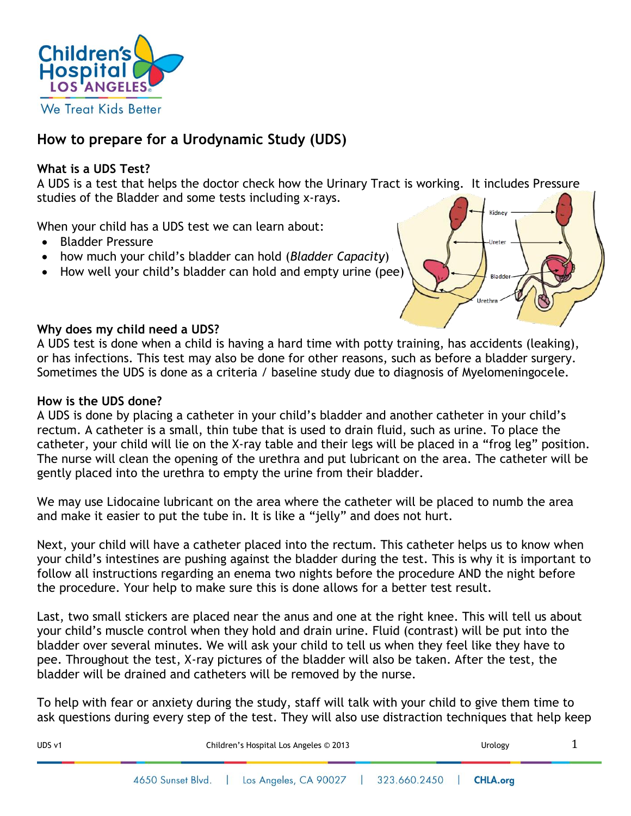

# **How to prepare for a Urodynamic Study (UDS)**

## **What is a UDS Test?**

A UDS is a test that helps the doctor check how the Urinary Tract is working. It includes Pressure studies of the Bladder and some tests including x-rays.

When your child has a UDS test we can learn about:

- Bladder Pressure
- how much your child's bladder can hold (*Bladder Capacity*)
- How well your child's bladder can hold and empty urine (pee)



## **Why does my child need a UDS?**

A UDS test is done when a child is having a hard time with potty training, has accidents (leaking), or has infections. This test may also be done for other reasons, such as before a bladder surgery. Sometimes the UDS is done as a criteria / baseline study due to diagnosis of Myelomeningocele.

#### **How is the UDS done?**

A UDS is done by placing a catheter in your child's bladder and another catheter in your child's rectum. A catheter is a small, thin tube that is used to drain fluid, such as urine. To place the catheter, your child will lie on the X-ray table and their legs will be placed in a "frog leg" position. The nurse will clean the opening of the urethra and put lubricant on the area. The catheter will be gently placed into the urethra to empty the urine from their bladder.

We may use Lidocaine lubricant on the area where the catheter will be placed to numb the area and make it easier to put the tube in. It is like a "jelly" and does not hurt.

Next, your child will have a catheter placed into the rectum. This catheter helps us to know when your child's intestines are pushing against the bladder during the test. This is why it is important to follow all instructions regarding an enema two nights before the procedure AND the night before the procedure. Your help to make sure this is done allows for a better test result.

Last, two small stickers are placed near the anus and one at the right knee. This will tell us about your child's muscle control when they hold and drain urine. Fluid (contrast) will be put into the bladder over several minutes. We will ask your child to tell us when they feel like they have to pee. Throughout the test, X-ray pictures of the bladder will also be taken. After the test, the bladder will be drained and catheters will be removed by the nurse.

To help with fear or anxiety during the study, staff will talk with your child to give them time to ask questions during every step of the test. They will also use distraction techniques that help keep

| UDS v1 | Children's Hospital Los Angeles © 2013 |                                                 |  | Urology |  |
|--------|----------------------------------------|-------------------------------------------------|--|---------|--|
|        | 4650 Sunset Blvd.                      | Los Angeles, CA 90027   323.660.2450   CHLA.org |  |         |  |